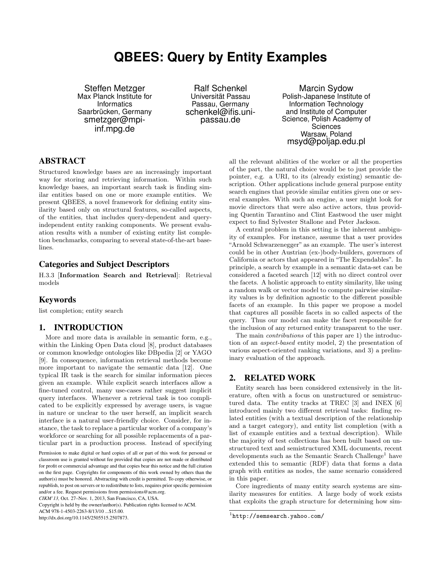# **QBEES: Query by Entity Examples**

Steffen Metzger Max Planck Institute for **Informatics** Saarbrücken, Germany smetzger@mpiinf.mpg.de

Ralf Schenkel Universität Passau Passau, Germany schenkel@ifis.unipassau.de

Marcin Sydow Polish-Japanese Institute of Information Technology and Institute of Computer Science, Polish Academy of **Sciences** Warsaw, Poland msyd@poljap.edu.pl

## ABSTRACT

Structured knowledge bases are an increasingly important way for storing and retrieving information. Within such knowledge bases, an important search task is finding similar entities based on one or more example entities. We present QBEES, a novel framework for defining entity similarity based only on structural features, so-called aspects, of the entities, that includes query-dependent and queryindependent entity ranking components. We present evaluation results with a number of existing entity list completion benchmarks, comparing to several state-of-the-art baselines.

### Categories and Subject Descriptors

H.3.3 [Information Search and Retrieval]: Retrieval models

#### **Keywords**

list completion; entity search

#### 1. INTRODUCTION

More and more data is available in semantic form, e.g., within the Linking Open Data cloud [8], product databases or common knowledge ontologies like DBpedia [2] or YAGO [9]. In consequence, information retrieval methods become more important to navigate the semantic data [12]. One typical IR task is the search for similar information pieces given an example. While explicit search interfaces allow a fine-tuned control, many use-cases rather suggest implicit query interfaces. Whenever a retrieval task is too complicated to be explicitly expressed by average users, is vague in nature or unclear to the user herself, an implicit search interface is a natural user-friendly choice. Consider, for instance, the task to replace a particular worker of a company's workforce or searching for all possible replacements of a particular part in a production process. Instead of specifying

Copyright is held by the owner/author(s). Publication rights licensed to ACM.

ACM 978-1-4503-2263-8/13/10 ...\$15.00.

http://dx.doi.org/10.1145/2505515.2507873.

all the relevant abilities of the worker or all the properties of the part, the natural choice would be to just provide the pointer, e.g. a URI, to its (already existing) semantic description. Other applications include general purpose entity search engines that provide similar entities given one or several examples. With such an engine, a user might look for movie directors that were also active actors, thus providing Quentin Tarantino and Clint Eastwood the user might expect to find Sylvester Stallone and Peter Jackson.

A central problem in this setting is the inherent ambiguity of examples. For instance, assume that a user provides "Arnold Schwarzenegger" as an example. The user's interest could be in other Austrian (ex-)body-builders, governors of California or actors that appeared in "The Expendables". In principle, a search by example in a semantic data-set can be considered a faceted search [12] with no direct control over the facets. A holistic approach to entity similarity, like using a random walk or vector model to compute pairwise similarity values is by definition agnostic to the different possible facets of an example. In this paper we propose a model that captures all possible facets in so called aspects of the query. Thus our model can make the facet responsible for the inclusion of any returned entity transparent to the user.

The main *contributions* of this paper are 1) the introduction of an aspect-based entity model, 2) the presentation of various aspect-oriented ranking variations, and 3) a preliminary evaluation of the approach.

## 2. RELATED WORK

Entity search has been considered extensively in the literature, often with a focus on unstructured or semistructured data. The entity tracks at TREC [3] and INEX [6] introduced mainly two different retrieval tasks: finding related entities (with a textual description of the relationship and a target category), and entity list completion (with a list of example entities and a textual description). While the majority of test collections has been built based on unstructured text and semistructured XML documents, recent developments such as the Semantic Search Challenge<sup>1</sup> have extended this to semantic (RDF) data that forms a data graph with entities as nodes, the same scenario considered in this paper.

Core ingredients of many entity search systems are similarity measures for entities. A large body of work exists that exploits the graph structure for determining how sim-

Permission to make digital or hard copies of all or part of this work for personal or classroom use is granted without fee provided that copies are not made or distributed for profit or commercial advantage and that copies bear this notice and the full citation on the first page. Copyrights for components of this work owned by others than the author(s) must be honored. Abstracting with credit is permitted. To copy otherwise, or republish, to post on servers or to redistribute to lists, requires prior specific permission and/or a fee. Request permissions from permissions@acm.org.

*CIKM'13,* Oct. 27–Nov. 1, 2013, San Francisco, CA, USA.

<sup>1</sup> http://semsearch.yahoo.com/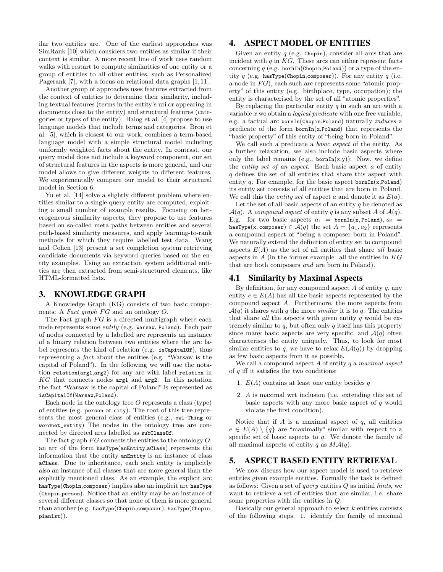ilar two entities are. One of the earliest approaches was SimRank [10] which considers two entities as similar if their context is similar. A more recent line of work uses random walks with restart to compute similarities of one entity or a group of entities to all other entities, such as Personalized Pagerank [7], with a focus on relational data graphs [1, 11].

Another group of approaches uses features extracted from the context of entities to determine their similarity, including textual features (terms in the entity's uri or appearing in documents close to the entity) and structural features (categories or types of the entity). Balog et al. [4] propose to use language models that include terms and categories. Bron et al. [5], which is closest to our work, combines a term-based language model with a simple structural model including uniformly weighted facts about the entity. In contrast, our query model does not include a keyword component, our set of structural features in the aspects is more general, and our model allows to give different weights to different features. We experimentally compare our model to their structural model in Section 6.

Yu et al. [14] solve a slightly different problem where entities similar to a single query entity are computed, exploiting a small number of example results. Focusing on heterogeneous similarity aspects, they propose to use features based on so-called meta paths between entities and several path-based similarity measures, and apply learning-to-rank methods for which they require labelled test data. Wang and Cohen [13] present a set completion system retrieving candidate documents via keyword queries based on the entity examples. Using an extraction system additional entities are then extracted from semi-structured elements, like HTML-formatted lists.

#### 3. KNOWLEDGE GRAPH

A Knowledge Graph (KG) consists of two basic components: A Fact graph  $FG$  and an ontology  $O$ .

The Fact graph  $FG$  is a directed multigraph where each node represents some *entity* (e.g. Warsaw, Poland). Each pair of nodes connected by a labelled arc represents an instance of a binary relation between two entities where the arc label represents the kind of relation (e.g. isCapitalOf), thus representing a fact about the entities (e.g. "Warsaw is the capital of Poland"). In the following we will use the notation relation(arg1,arg2) for any arc with label relation in  $KG$  that connects nodes  $arg1$  and  $arg2$ . In this notation the fact "Warsaw is the capital of Poland" is represented as isCapitalOf(Warsaw,Poland).

Each node in the ontology tree  $O$  represents a class (type) of entities (e.g. person or city). The root of this tree represents the most general class of entities (e.g., owl:Thing or wordnet\_entity) The nodes in the ontology tree are connected by directed arcs labelled as subClassOf.

The fact graph  $FG$  connects the entities to the ontology  $O$ : an arc of the form hasType(anEntity,aClass) represents the information that the entity anEntity is an instance of class aClass. Due to inheritance, each such entity is implicitly also an instance of all classes that are more general than the explicitly mentioned class. As an example, the explicit arc hasType(Chopin,composer) implies also an implicit arc hasType (Chopin,person). Notice that an entity may be an instance of several different classes so that none of them is more general than another (e.g. hasType(Chopin,composer), hasType(Chopin, pianist)).

## 4. ASPECT MODEL OF ENTITIES

Given an entity  $q$  (e.g. Chopin), consider all arcs that are incident with  $q$  in  $KG$ . These arcs can either represent facts concerning  $q$  (e.g. bornIn(Chopin,Poland)) or a type of the entity  $q$  (e.g. hasType(Chopin,composer)). For any entity  $q$  (i.e. a node in  $FG$ ), each such arc represents some "atomic property" of this entity (e.g. birthplace, type, occupation); the entity is characterised by the set of all "atomic properties".

By replacing the particular entity  $q$  in such an arc with a variable  $x$  we obtain a *logical predicate* with one free variable, e.g. a factual arc bornIn(Chopin,Poland) naturally induces a predicate of the form  $bornIn(x, Poland)$  that represents the "basic property" of this entity of "being born in Poland".

We call such a predicate a basic aspect of the entity. As a further relaxation, we also include basic aspects where only the label remains (e.g.,  $bornIn(x,y)$ ). Now, we define the entity set of an aspect. Each basic aspect a of entity q defines the set of all entities that share this aspect with entity q. For example, for the basic aspect born $In(x, Poland)$ its entity set consists of all entities that are born in Poland. We call this the *entity set* of aspect a and denote it as  $E(a)$ .

Let the set of all basic aspects of an entity  $q$  be denoted as  $\mathcal{A}(q)$ . A compound aspect of entity q is any subset A of  $\mathcal{A}(q)$ . E.g. for two basic aspects  $a_1 = \text{bornIn}(x, \text{Poland})$ ,  $a_2 =$ hasType(x, composer)  $\in \mathcal{A}(q)$  the set  $A = \{a_1, a_2\}$  represents a compound aspect of "being a composer born in Poland". We naturally extend the definition of entity set to compound aspects  $E(A)$  as the set of all entities that share all basic aspects in  $A$  (in the former example: all the entities in  $KG$ that are both composers and are born in Poland).

#### 4.1 Similarity by Maximal Aspects

By definition, for any compound aspect  $A$  of entity  $q$ , any entity  $e \in E(A)$  has all the basic aspects represented by the compound aspect A. Furthermore, the more aspects from  $\mathcal{A}(q)$  it shares with q the more *similar* it is to q. The entities that share all the aspects with given entity  $q$  would be extremely similar to  $q$ , but often only  $q$  itself has this property since many basic aspects are very specific, and  $A(q)$  often characterises the entity uniquely. Thus, to look for most similar entities to q, we have to relax  $E(A(q))$  by dropping as few basic aspects from it as possible.

We call a compound aspect  $A$  of entity  $q$  a maximal aspect of  $q$  iff it satisfies the two conditions:

- 1.  $E(A)$  contains at least one entity besides q
- 2. A is maximal wrt inclusion (i.e. extending this set of basic aspects with any more basic aspect of q would violate the first condition).

Notice that if  $A$  is a maximal aspect of  $q$ , all enitities  $e \in E(A) \setminus \{q\}$  are "maximally" similar with respect to a specific set of basic aspects to  $q$ . We denote the family of all maximal aspects of entity q as  $M\mathcal{A}(q)$ .

## 5. ASPECT BASED ENTITY RETRIEVAL

We now discuss how our aspect model is used to retrieve entities given example entities. Formally the task is defined as follows: Given a set of *query* entities  $Q$  as initial hints, we want to retrieve a set of entities that are similar, i.e. share some properties with the entities in Q.

Basically our general approach to select  $k$  entities consists of the following steps. 1. identify the family of maximal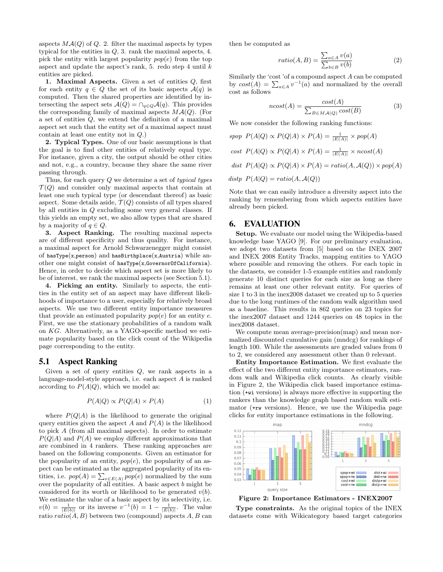aspects  $M\mathcal{A}(Q)$  of Q. 2. filter the maximal aspects by types typical for the entities in Q, 3. rank the maximal aspects, 4. pick the entity with largest popularity  $pop(e)$  from the top aspect and update the aspect's rank, 5. redo step 4 until  $k$ entities are picked.

1. Maximal Aspects. Given a set of entities  $Q$ , first for each entity  $q \in Q$  the set of its basic aspects  $\mathcal{A}(q)$  is computed. Then the shared properties are identified by intersecting the aspect sets  $\mathcal{A}(Q) = \bigcap_{q \in Q} \mathcal{A}(q)$ . This provides the corresponding family of maximal aspects  $M\mathcal{A}(Q)$ . (For a set of entities Q, we extend the definition of a maximal aspect set such that the entity set of a maximal aspect must contain at least one entity not in Q.)

2. Typical Types. One of our basic assumptions is that the goal is to find other entities of relatively equal type. For instance, given a city, the output should be other cities and not, e.g., a country, because they share the same river passing through.

Thus, for each query  $Q$  we determine a set of typical types  $\mathcal{T}(Q)$  and consider only maximal aspects that contain at least one such typical type (or descendant thereof) as basic aspect. Some details aside,  $\mathcal{T}(Q)$  consists of all types shared by all entities in Q excluding some very general classes. If this yields an empty set, we also allow types that are shared by a majority of  $q \in Q$ .

3. Aspect Ranking. The resulting maximal aspects are of different specificity and thus quality. For instance, a maximal aspect for Arnold Schwarzenegger might consist of hasType(x,person) and hasBirthplace(x,Austria) while another one might consist of hasType(x,GovernorOfCalifornia). Hence, in order to decide which aspect set is more likely to be of interest, we rank the maximal aspects (see Section 5.1).

4. Picking an entity. Similarly to aspects, the entities in the entity set of an aspect may have different likelihoods of importance to a user, especially for relatively broad aspects. We use two different entity importance measures that provide an estimated popularity  $pop(e)$  for an entity e. First, we use the stationary probabilities of a random walk on KG. Alternatively, as a YAGO-specific method we estimate popularity based on the click count of the Wikipedia page corresponding to the entity.

#### 5.1 Aspect Ranking

Given a set of query entities  $Q$ , we rank aspects in a language-model-style approach, i.e. each aspect A is ranked according to  $P(A|Q)$ , which we model as:

$$
P(A|Q) \propto P(Q|A) \times P(A) \tag{1}
$$

where  $P(Q|A)$  is the likelihood to generate the original query entities given the aspect A and  $P(A)$  is the likelihood to pick A (from all maximal aspects). In order to estimate  $P(Q|A)$  and  $P(A)$  we employ different approximations that are combined in 4 rankers. These ranking approaches are based on the following components. Given an estimator for the popularity of an entity,  $pop(e)$ , the popularity of an aspect can be estimated as the aggregated popularity of its entities, i.e.  $pop(A) = \sum_{e \in E(A)} pop(e)$  normalized by the sum over the popularity of all entities. A basic aspect  $b$  might be considered for its worth or likelihood to be generated  $v(b)$ . We estimate the value of a basic aspect by its selectivity, i.e.  $v(b) = \frac{1}{|E(b)|}$  or its inverse  $v^{-1}(b) = 1 - \frac{1}{|E(b)|}$ . The value ratio  $ratio(A, B)$  between two (compound) aspects A, B can then be computed as

$$
ratio(A, B) = \frac{\sum_{a \in A} v(a)}{\sum_{b \in B} v(b)} \tag{2}
$$

Similarly the 'cost 'of a compound aspect A can be computed by  $cost(A) = \sum_{a \in A} v^{-1}(a)$  and normalized by the overall cost as follows

$$
ncost(A) = \frac{cost(A)}{\sum_{B \in MA(Q)} cost(B)} \tag{3}
$$

We now consider the following ranking functions:

$$
spop \ P(A|Q) \propto P(Q|A) \times P(A) = \frac{1}{|E(A)|} \times pop(A)
$$
  

$$
cost \ P(A|Q) \propto P(Q|A) \times P(A) = \frac{1}{|E(A)|} \times ncost(A)
$$
  

$$
dist \ P(A|Q) \propto P(Q|A) \times P(A) = ratio(A, A(Q)) \times pop(A)
$$

distp  $P(A|Q) = ratio(A, A(Q))$ 

Note that we can easily introduce a diversity aspect into the ranking by remembering from which aspects entities have already been picked.

#### 6. EVALUATION

Setup. We evaluate our model using the Wikipedia-based knowledge base YAGO [9]. For our preliminary evaluation, we adopt two datasets from [5] based on the INEX 2007 and INEX 2008 Entity Tracks, mapping entities to YAGO where possible and removing the others. For each topic in the datasets, we consider 1-5 example entities and randomly generate 10 distinct queries for each size as long as there remains at least one other relevant entity. For queries of size 1 to 3 in the inex2008 dataset we created up to 5 queries due to the long runtimes of the random walk algorithm used as a baseline. This results in 862 queries on 23 topics for the inex2007 dataset and 1244 queries on 48 topics in the inex2008 dataset.

We compute mean average-precision(map) and mean normalized discounted cumulative gain (mndcg) for rankings of length 100. While the assessments are graded values from 0 to 2, we considered any assessment other than 0 relevant.

Entity Importance Estimation. We first evaluate the effect of the two different entity importance estimators, random walk and Wikipedia click counts. As clearly visible in Figure 2, the Wikipedia click based importance estimation (+wi versions) is always more effective in supporting the rankers than the knowledge graph based random walk estimator (+rw versions). Hence, we use the Wikipedia page clicks for entity importance estimations in the following.



Figure 2: Importance Estimators - INEX2007

Type constraints. As the original topics of the INEX datasets come with Wikicategory based target categories